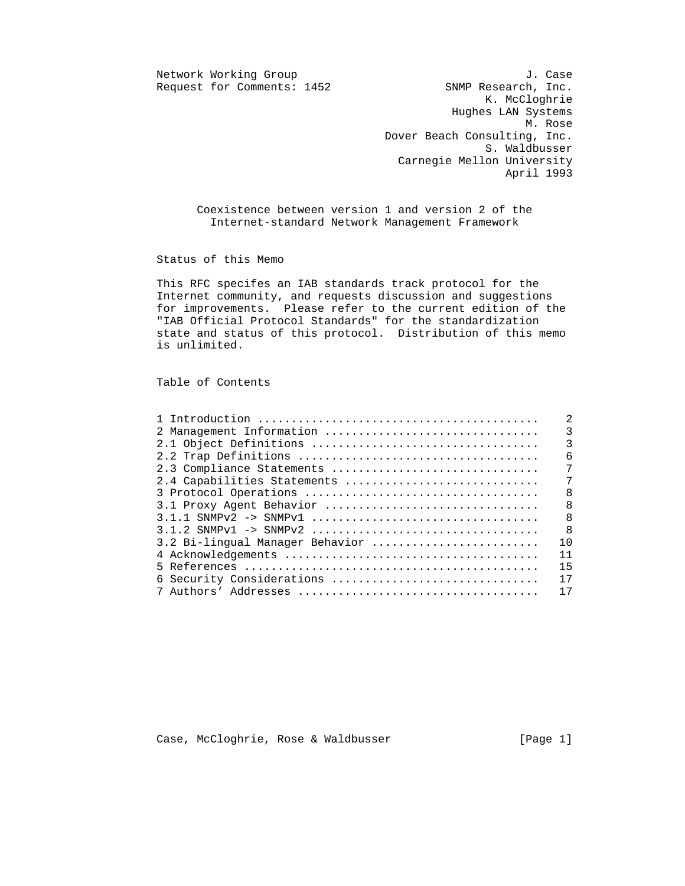$Reguest for Comments: 1452$ 

Network Working Group J. Case<br>Request for Comments: 1452 SNMP Research, Inc. K. McCloghrie Hughes LAN Systems M. Rose Dover Beach Consulting, Inc. S. Waldbusser Carnegie Mellon University April 1993

> Coexistence between version 1 and version 2 of the Internet-standard Network Management Framework

Status of this Memo

 This RFC specifes an IAB standards track protocol for the Internet community, and requests discussion and suggestions for improvements. Please refer to the current edition of the "IAB Official Protocol Standards" for the standardization state and status of this protocol. Distribution of this memo is unlimited.

Table of Contents

|                                 | $\overline{2}$ |
|---------------------------------|----------------|
|                                 |                |
|                                 |                |
|                                 |                |
| 2.3 Compliance Statements       | $\overline{7}$ |
|                                 |                |
|                                 |                |
|                                 |                |
|                                 |                |
|                                 |                |
| 3.2 Bi-lingual Manager Behavior | 10             |
|                                 | 11             |
|                                 | 15             |
| 6 Security Considerations       | 17             |
|                                 | 17             |

Case, McCloghrie, Rose & Waldbusser [Page 1]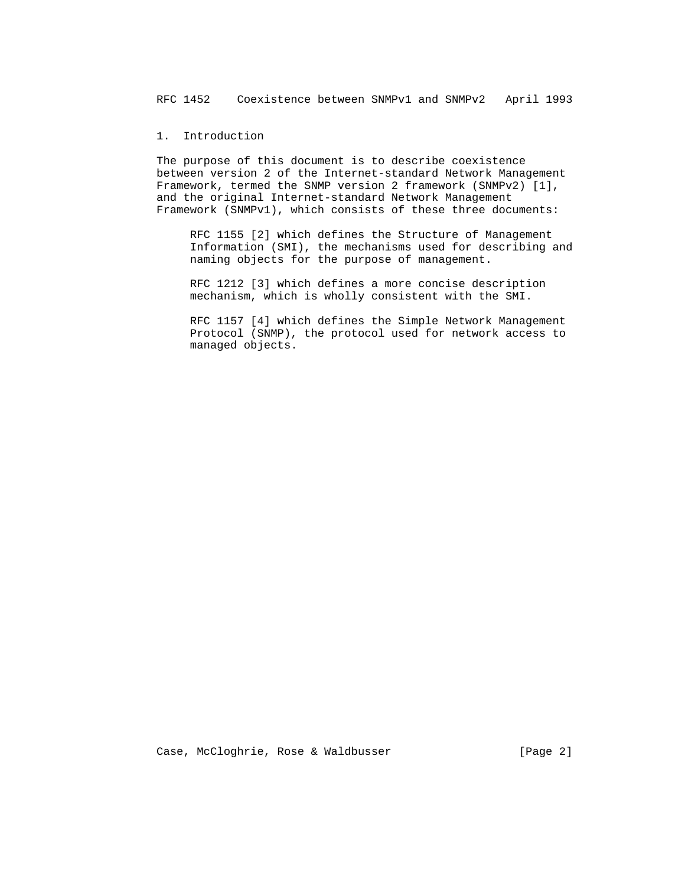1. Introduction

 The purpose of this document is to describe coexistence between version 2 of the Internet-standard Network Management Framework, termed the SNMP version 2 framework (SNMPv2) [1], and the original Internet-standard Network Management Framework (SNMPv1), which consists of these three documents:

 RFC 1155 [2] which defines the Structure of Management Information (SMI), the mechanisms used for describing and naming objects for the purpose of management.

 RFC 1212 [3] which defines a more concise description mechanism, which is wholly consistent with the SMI.

 RFC 1157 [4] which defines the Simple Network Management Protocol (SNMP), the protocol used for network access to managed objects.

Case, McCloghrie, Rose & Waldbusser [Page 2]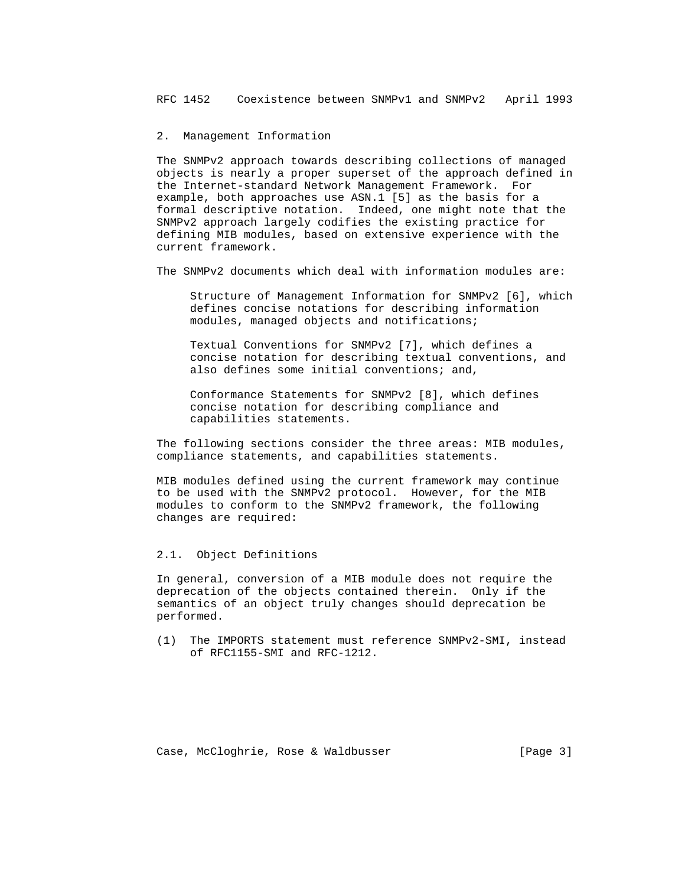## 2. Management Information

 The SNMPv2 approach towards describing collections of managed objects is nearly a proper superset of the approach defined in the Internet-standard Network Management Framework. For example, both approaches use ASN.1 [5] as the basis for a formal descriptive notation. Indeed, one might note that the SNMPv2 approach largely codifies the existing practice for defining MIB modules, based on extensive experience with the current framework.

The SNMPv2 documents which deal with information modules are:

 Structure of Management Information for SNMPv2 [6], which defines concise notations for describing information modules, managed objects and notifications;

 Textual Conventions for SNMPv2 [7], which defines a concise notation for describing textual conventions, and also defines some initial conventions; and,

 Conformance Statements for SNMPv2 [8], which defines concise notation for describing compliance and capabilities statements.

 The following sections consider the three areas: MIB modules, compliance statements, and capabilities statements.

 MIB modules defined using the current framework may continue to be used with the SNMPv2 protocol. However, for the MIB modules to conform to the SNMPv2 framework, the following changes are required:

2.1. Object Definitions

 In general, conversion of a MIB module does not require the deprecation of the objects contained therein. Only if the semantics of an object truly changes should deprecation be performed.

 (1) The IMPORTS statement must reference SNMPv2-SMI, instead of RFC1155-SMI and RFC-1212.

Case, McCloghrie, Rose & Waldbusser (Page 3)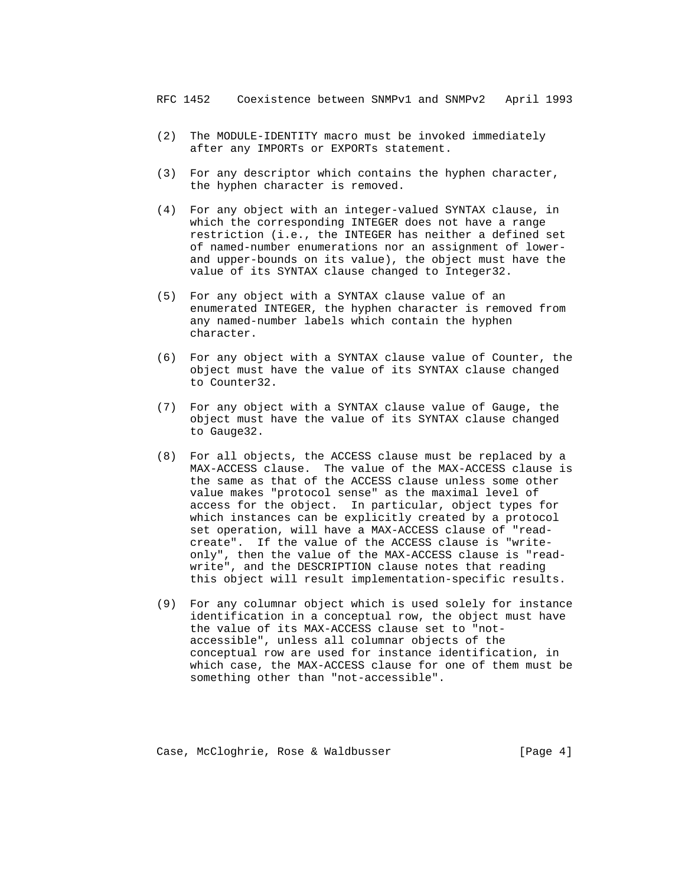- (2) The MODULE-IDENTITY macro must be invoked immediately after any IMPORTs or EXPORTs statement.
- (3) For any descriptor which contains the hyphen character, the hyphen character is removed.
- (4) For any object with an integer-valued SYNTAX clause, in which the corresponding INTEGER does not have a range restriction (i.e., the INTEGER has neither a defined set of named-number enumerations nor an assignment of lower and upper-bounds on its value), the object must have the value of its SYNTAX clause changed to Integer32.
- (5) For any object with a SYNTAX clause value of an enumerated INTEGER, the hyphen character is removed from any named-number labels which contain the hyphen character.
- (6) For any object with a SYNTAX clause value of Counter, the object must have the value of its SYNTAX clause changed to Counter32.
- (7) For any object with a SYNTAX clause value of Gauge, the object must have the value of its SYNTAX clause changed to Gauge32.
- (8) For all objects, the ACCESS clause must be replaced by a MAX-ACCESS clause. The value of the MAX-ACCESS clause is the same as that of the ACCESS clause unless some other value makes "protocol sense" as the maximal level of access for the object. In particular, object types for which instances can be explicitly created by a protocol set operation, will have a MAX-ACCESS clause of "read create". If the value of the ACCESS clause is "write only", then the value of the MAX-ACCESS clause is "read write", and the DESCRIPTION clause notes that reading this object will result implementation-specific results.
- (9) For any columnar object which is used solely for instance identification in a conceptual row, the object must have the value of its MAX-ACCESS clause set to "not accessible", unless all columnar objects of the conceptual row are used for instance identification, in which case, the MAX-ACCESS clause for one of them must be something other than "not-accessible".

Case, McCloghrie, Rose & Waldbusser [Page 4]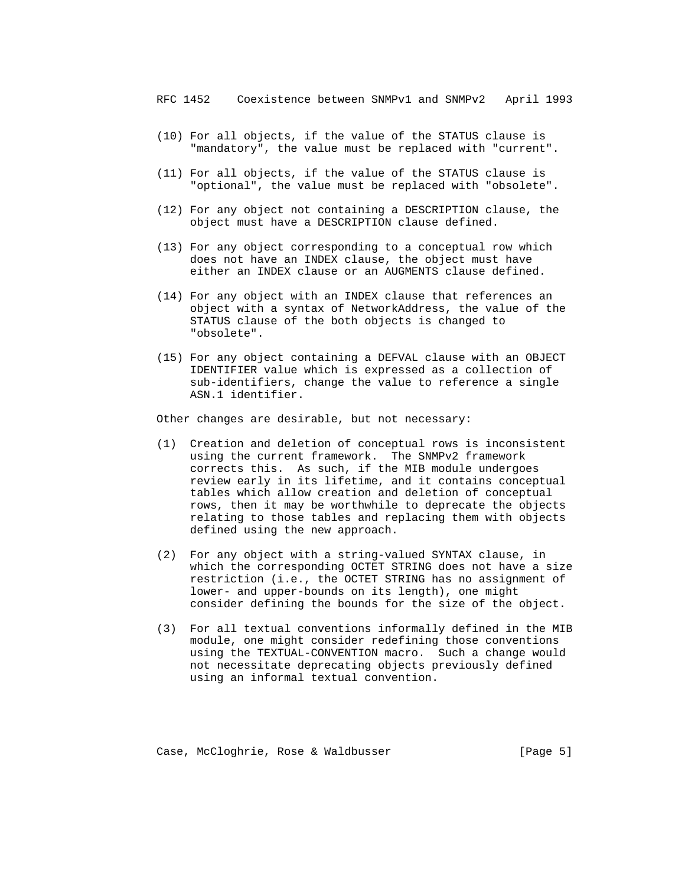- (10) For all objects, if the value of the STATUS clause is "mandatory", the value must be replaced with "current".
- (11) For all objects, if the value of the STATUS clause is "optional", the value must be replaced with "obsolete".
- (12) For any object not containing a DESCRIPTION clause, the object must have a DESCRIPTION clause defined.
- (13) For any object corresponding to a conceptual row which does not have an INDEX clause, the object must have either an INDEX clause or an AUGMENTS clause defined.
- (14) For any object with an INDEX clause that references an object with a syntax of NetworkAddress, the value of the STATUS clause of the both objects is changed to "obsolete".
- (15) For any object containing a DEFVAL clause with an OBJECT IDENTIFIER value which is expressed as a collection of sub-identifiers, change the value to reference a single ASN.1 identifier.

Other changes are desirable, but not necessary:

- (1) Creation and deletion of conceptual rows is inconsistent using the current framework. The SNMPv2 framework corrects this. As such, if the MIB module undergoes review early in its lifetime, and it contains conceptual tables which allow creation and deletion of conceptual rows, then it may be worthwhile to deprecate the objects relating to those tables and replacing them with objects defined using the new approach.
- (2) For any object with a string-valued SYNTAX clause, in which the corresponding OCTET STRING does not have a size restriction (i.e., the OCTET STRING has no assignment of lower- and upper-bounds on its length), one might consider defining the bounds for the size of the object.
- (3) For all textual conventions informally defined in the MIB module, one might consider redefining those conventions using the TEXTUAL-CONVENTION macro. Such a change would not necessitate deprecating objects previously defined using an informal textual convention.

Case, McCloghrie, Rose & Waldbusser (Page 5)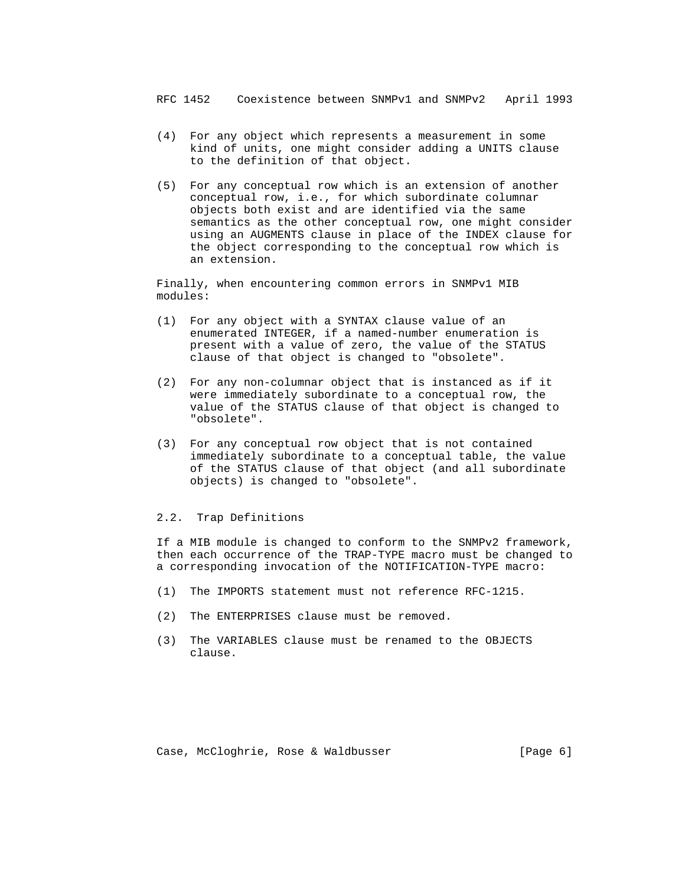- (4) For any object which represents a measurement in some kind of units, one might consider adding a UNITS clause to the definition of that object.
- (5) For any conceptual row which is an extension of another conceptual row, i.e., for which subordinate columnar objects both exist and are identified via the same semantics as the other conceptual row, one might consider using an AUGMENTS clause in place of the INDEX clause for the object corresponding to the conceptual row which is an extension.

 Finally, when encountering common errors in SNMPv1 MIB modules:

- (1) For any object with a SYNTAX clause value of an enumerated INTEGER, if a named-number enumeration is present with a value of zero, the value of the STATUS clause of that object is changed to "obsolete".
- (2) For any non-columnar object that is instanced as if it were immediately subordinate to a conceptual row, the value of the STATUS clause of that object is changed to "obsolete".
- (3) For any conceptual row object that is not contained immediately subordinate to a conceptual table, the value of the STATUS clause of that object (and all subordinate objects) is changed to "obsolete".

## 2.2. Trap Definitions

 If a MIB module is changed to conform to the SNMPv2 framework, then each occurrence of the TRAP-TYPE macro must be changed to a corresponding invocation of the NOTIFICATION-TYPE macro:

- (1) The IMPORTS statement must not reference RFC-1215.
- (2) The ENTERPRISES clause must be removed.
- (3) The VARIABLES clause must be renamed to the OBJECTS clause.

Case, McCloghrie, Rose & Waldbusser (Page 6)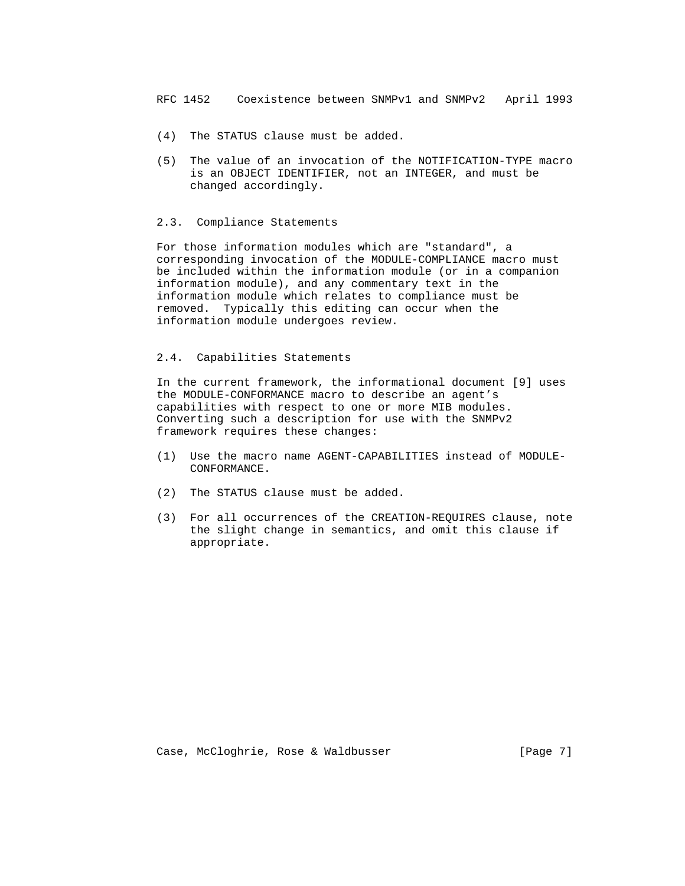- (4) The STATUS clause must be added.
- (5) The value of an invocation of the NOTIFICATION-TYPE macro is an OBJECT IDENTIFIER, not an INTEGER, and must be changed accordingly.

## 2.3. Compliance Statements

 For those information modules which are "standard", a corresponding invocation of the MODULE-COMPLIANCE macro must be included within the information module (or in a companion information module), and any commentary text in the information module which relates to compliance must be removed. Typically this editing can occur when the information module undergoes review.

# 2.4. Capabilities Statements

 In the current framework, the informational document [9] uses the MODULE-CONFORMANCE macro to describe an agent's capabilities with respect to one or more MIB modules. Converting such a description for use with the SNMPv2 framework requires these changes:

- (1) Use the macro name AGENT-CAPABILITIES instead of MODULE- CONFORMANCE.
- (2) The STATUS clause must be added.
- (3) For all occurrences of the CREATION-REQUIRES clause, note the slight change in semantics, and omit this clause if appropriate.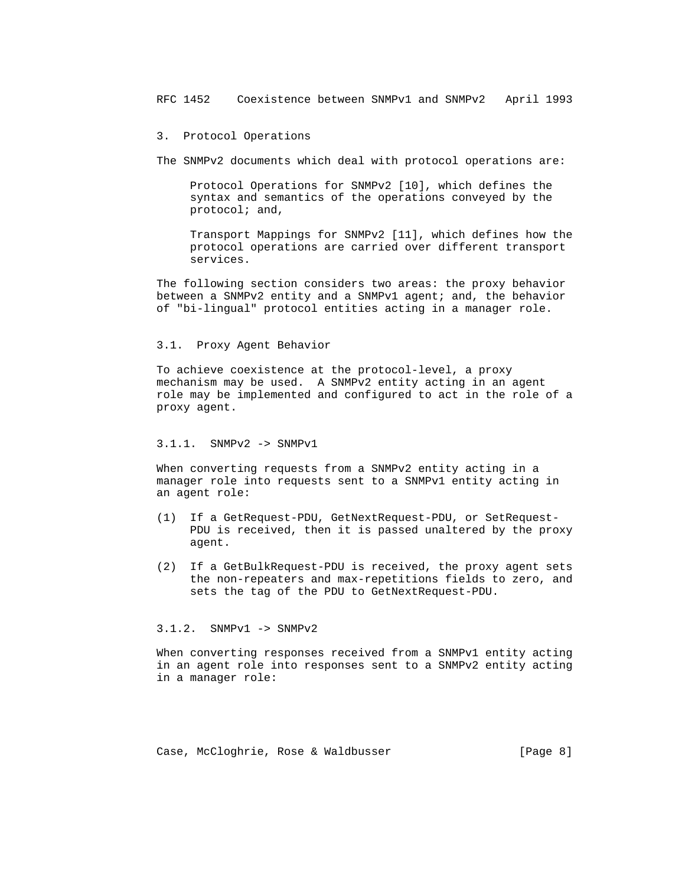#### 3. Protocol Operations

The SNMPv2 documents which deal with protocol operations are:

 Protocol Operations for SNMPv2 [10], which defines the syntax and semantics of the operations conveyed by the protocol; and,

 Transport Mappings for SNMPv2 [11], which defines how the protocol operations are carried over different transport services.

 The following section considers two areas: the proxy behavior between a SNMPv2 entity and a SNMPv1 agent; and, the behavior of "bi-lingual" protocol entities acting in a manager role.

# 3.1. Proxy Agent Behavior

 To achieve coexistence at the protocol-level, a proxy mechanism may be used. A SNMPv2 entity acting in an agent role may be implemented and configured to act in the role of a proxy agent.

# 3.1.1. SNMPv2 -> SNMPv1

 When converting requests from a SNMPv2 entity acting in a manager role into requests sent to a SNMPv1 entity acting in an agent role:

- (1) If a GetRequest-PDU, GetNextRequest-PDU, or SetRequest- PDU is received, then it is passed unaltered by the proxy agent.
- (2) If a GetBulkRequest-PDU is received, the proxy agent sets the non-repeaters and max-repetitions fields to zero, and sets the tag of the PDU to GetNextRequest-PDU.

## 3.1.2. SNMPv1 -> SNMPv2

 When converting responses received from a SNMPv1 entity acting in an agent role into responses sent to a SNMPv2 entity acting in a manager role:

Case, McCloghrie, Rose & Waldbusser (Page 8)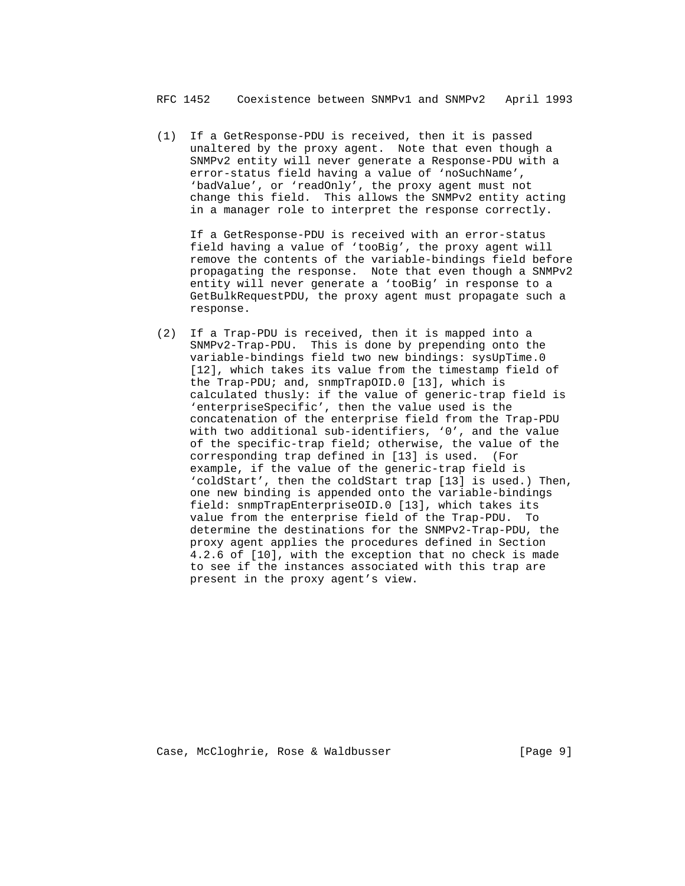(1) If a GetResponse-PDU is received, then it is passed unaltered by the proxy agent. Note that even though a SNMPv2 entity will never generate a Response-PDU with a error-status field having a value of 'noSuchName', 'badValue', or 'readOnly', the proxy agent must not change this field. This allows the SNMPv2 entity acting in a manager role to interpret the response correctly.

 If a GetResponse-PDU is received with an error-status field having a value of 'tooBig', the proxy agent will remove the contents of the variable-bindings field before propagating the response. Note that even though a SNMPv2 entity will never generate a 'tooBig' in response to a GetBulkRequestPDU, the proxy agent must propagate such a response.

 (2) If a Trap-PDU is received, then it is mapped into a SNMPv2-Trap-PDU. This is done by prepending onto the variable-bindings field two new bindings: sysUpTime.0 [12], which takes its value from the timestamp field of the Trap-PDU; and, snmpTrapOID.0 [13], which is calculated thusly: if the value of generic-trap field is 'enterpriseSpecific', then the value used is the concatenation of the enterprise field from the Trap-PDU with two additional sub-identifiers, '0', and the value of the specific-trap field; otherwise, the value of the corresponding trap defined in [13] is used. (For example, if the value of the generic-trap field is 'coldStart', then the coldStart trap [13] is used.) Then, one new binding is appended onto the variable-bindings field: snmpTrapEnterpriseOID.0 [13], which takes its value from the enterprise field of the Trap-PDU. To determine the destinations for the SNMPv2-Trap-PDU, the proxy agent applies the procedures defined in Section 4.2.6 of [10], with the exception that no check is made to see if the instances associated with this trap are present in the proxy agent's view.

Case, McCloghrie, Rose & Waldbusser (Page 9]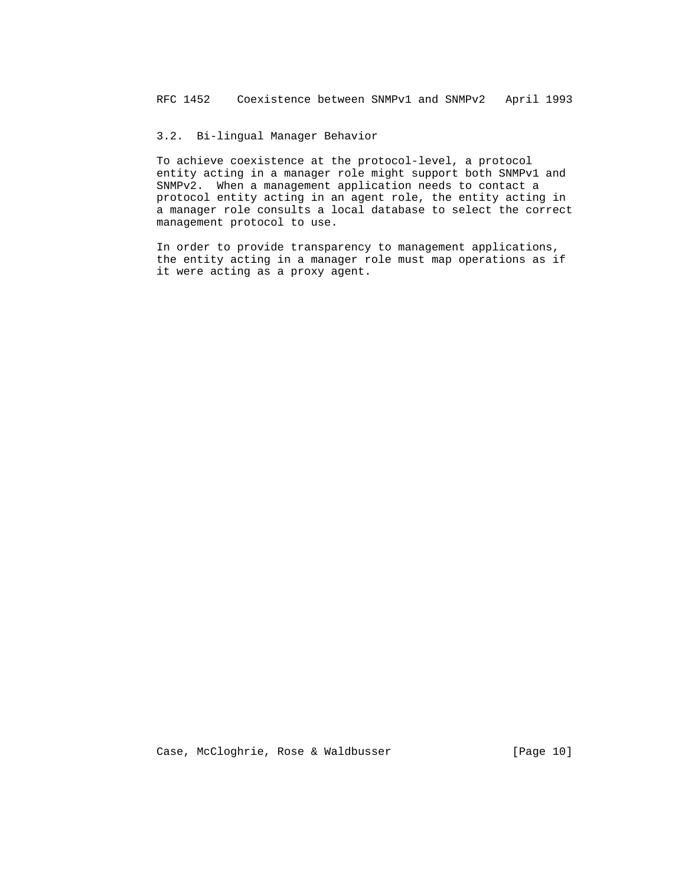# 3.2. Bi-lingual Manager Behavior

 To achieve coexistence at the protocol-level, a protocol entity acting in a manager role might support both SNMPv1 and SNMPv2. When a management application needs to contact a protocol entity acting in an agent role, the entity acting in a manager role consults a local database to select the correct management protocol to use.

 In order to provide transparency to management applications, the entity acting in a manager role must map operations as if it were acting as a proxy agent.

Case, McCloghrie, Rose & Waldbusser [Page 10]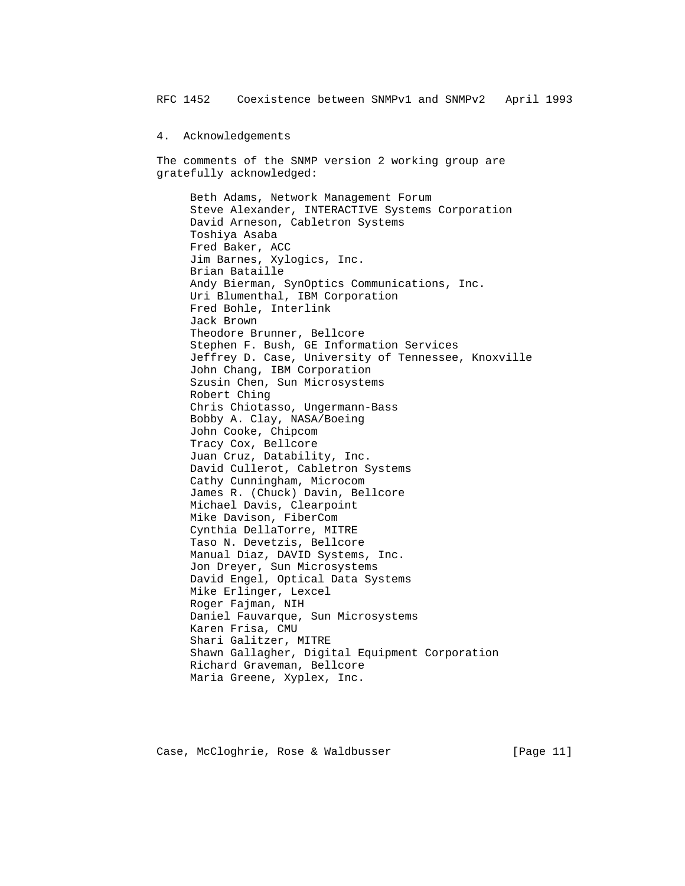4. Acknowledgements

 The comments of the SNMP version 2 working group are gratefully acknowledged:

 Beth Adams, Network Management Forum Steve Alexander, INTERACTIVE Systems Corporation David Arneson, Cabletron Systems Toshiya Asaba Fred Baker, ACC Jim Barnes, Xylogics, Inc. Brian Bataille Andy Bierman, SynOptics Communications, Inc. Uri Blumenthal, IBM Corporation Fred Bohle, Interlink Jack Brown Theodore Brunner, Bellcore Stephen F. Bush, GE Information Services Jeffrey D. Case, University of Tennessee, Knoxville John Chang, IBM Corporation Szusin Chen, Sun Microsystems Robert Ching Chris Chiotasso, Ungermann-Bass Bobby A. Clay, NASA/Boeing John Cooke, Chipcom Tracy Cox, Bellcore Juan Cruz, Datability, Inc. David Cullerot, Cabletron Systems Cathy Cunningham, Microcom James R. (Chuck) Davin, Bellcore Michael Davis, Clearpoint Mike Davison, FiberCom Cynthia DellaTorre, MITRE Taso N. Devetzis, Bellcore Manual Diaz, DAVID Systems, Inc. Jon Dreyer, Sun Microsystems David Engel, Optical Data Systems Mike Erlinger, Lexcel Roger Fajman, NIH Daniel Fauvarque, Sun Microsystems Karen Frisa, CMU Shari Galitzer, MITRE Shawn Gallagher, Digital Equipment Corporation Richard Graveman, Bellcore Maria Greene, Xyplex, Inc.

Case, McCloghrie, Rose & Waldbusser [Page 11]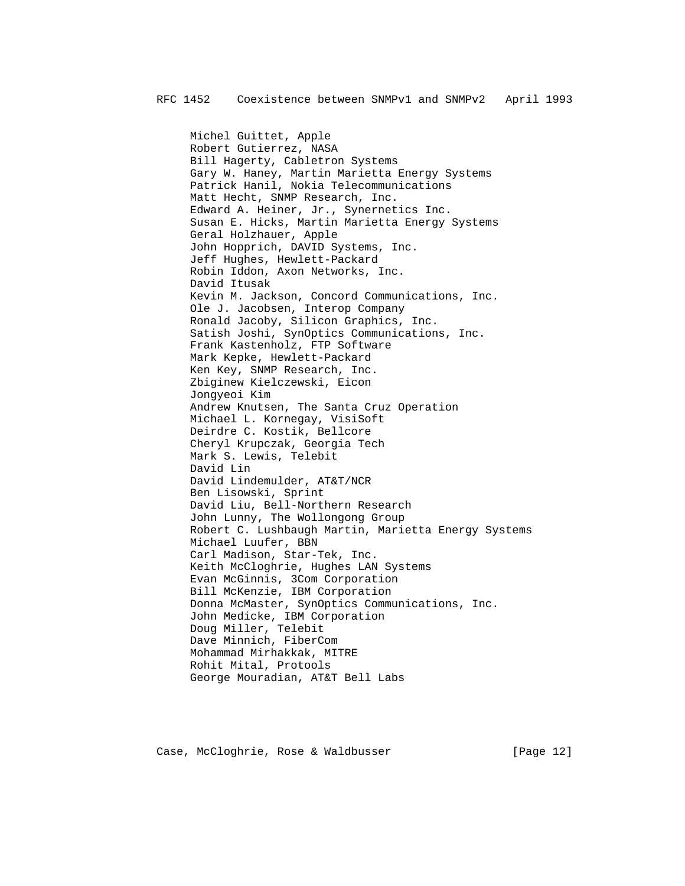Michel Guittet, Apple Robert Gutierrez, NASA Bill Hagerty, Cabletron Systems Gary W. Haney, Martin Marietta Energy Systems Patrick Hanil, Nokia Telecommunications Matt Hecht, SNMP Research, Inc. Edward A. Heiner, Jr., Synernetics Inc. Susan E. Hicks, Martin Marietta Energy Systems Geral Holzhauer, Apple John Hopprich, DAVID Systems, Inc. Jeff Hughes, Hewlett-Packard Robin Iddon, Axon Networks, Inc. David Itusak Kevin M. Jackson, Concord Communications, Inc. Ole J. Jacobsen, Interop Company Ronald Jacoby, Silicon Graphics, Inc. Satish Joshi, SynOptics Communications, Inc. Frank Kastenholz, FTP Software Mark Kepke, Hewlett-Packard Ken Key, SNMP Research, Inc. Zbiginew Kielczewski, Eicon Jongyeoi Kim Andrew Knutsen, The Santa Cruz Operation Michael L. Kornegay, VisiSoft Deirdre C. Kostik, Bellcore Cheryl Krupczak, Georgia Tech Mark S. Lewis, Telebit David Lin David Lindemulder, AT&T/NCR Ben Lisowski, Sprint David Liu, Bell-Northern Research John Lunny, The Wollongong Group Robert C. Lushbaugh Martin, Marietta Energy Systems Michael Luufer, BBN Carl Madison, Star-Tek, Inc. Keith McCloghrie, Hughes LAN Systems Evan McGinnis, 3Com Corporation Bill McKenzie, IBM Corporation Donna McMaster, SynOptics Communications, Inc. John Medicke, IBM Corporation Doug Miller, Telebit Dave Minnich, FiberCom Mohammad Mirhakkak, MITRE Rohit Mital, Protools George Mouradian, AT&T Bell Labs

Case, McCloghrie, Rose & Waldbusser [Page 12]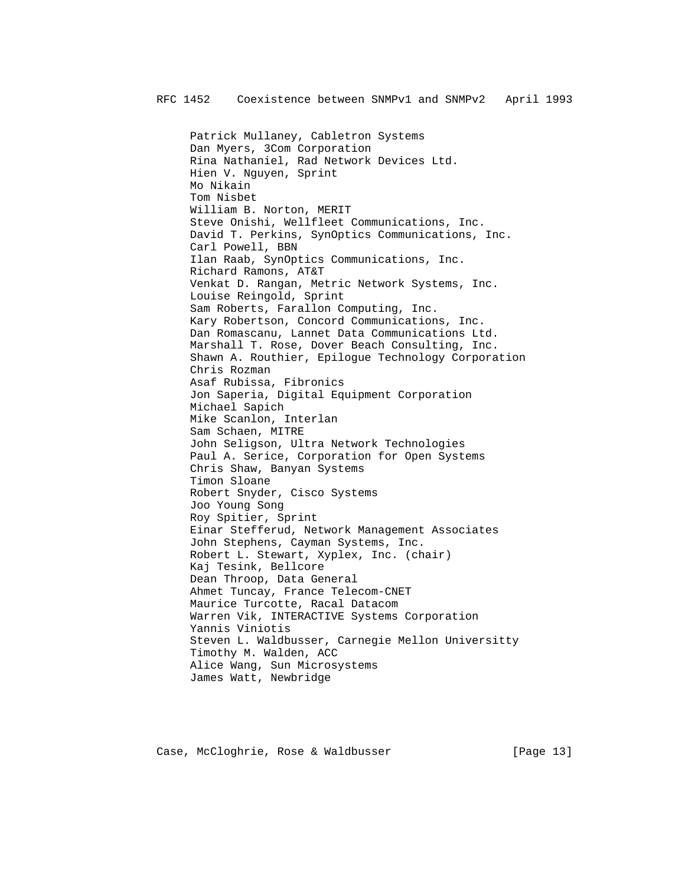Patrick Mullaney, Cabletron Systems Dan Myers, 3Com Corporation Rina Nathaniel, Rad Network Devices Ltd. Hien V. Nguyen, Sprint Mo Nikain Tom Nisbet William B. Norton, MERIT Steve Onishi, Wellfleet Communications, Inc. David T. Perkins, SynOptics Communications, Inc. Carl Powell, BBN Ilan Raab, SynOptics Communications, Inc. Richard Ramons, AT&T Venkat D. Rangan, Metric Network Systems, Inc. Louise Reingold, Sprint Sam Roberts, Farallon Computing, Inc. Kary Robertson, Concord Communications, Inc. Dan Romascanu, Lannet Data Communications Ltd. Marshall T. Rose, Dover Beach Consulting, Inc. Shawn A. Routhier, Epilogue Technology Corporation Chris Rozman Asaf Rubissa, Fibronics Jon Saperia, Digital Equipment Corporation Michael Sapich Mike Scanlon, Interlan Sam Schaen, MITRE John Seligson, Ultra Network Technologies Paul A. Serice, Corporation for Open Systems Chris Shaw, Banyan Systems Timon Sloane Robert Snyder, Cisco Systems Joo Young Song Roy Spitier, Sprint Einar Stefferud, Network Management Associates John Stephens, Cayman Systems, Inc. Robert L. Stewart, Xyplex, Inc. (chair) Kaj Tesink, Bellcore Dean Throop, Data General Ahmet Tuncay, France Telecom-CNET Maurice Turcotte, Racal Datacom Warren Vik, INTERACTIVE Systems Corporation Yannis Viniotis Steven L. Waldbusser, Carnegie Mellon Universitty Timothy M. Walden, ACC Alice Wang, Sun Microsystems James Watt, Newbridge

Case, McCloghrie, Rose & Waldbusser [Page 13]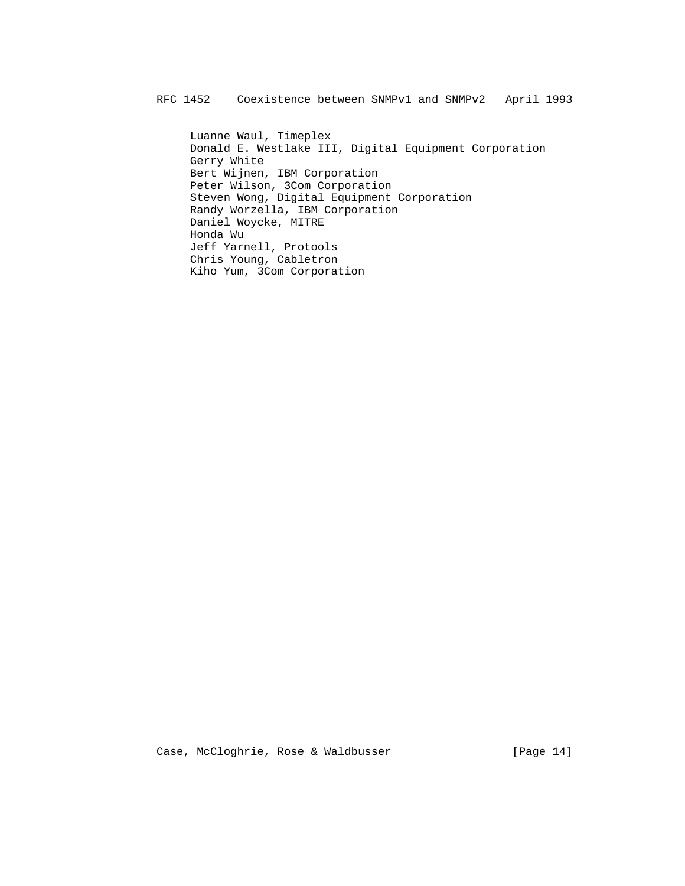Luanne Waul, Timeplex Donald E. Westlake III, Digital Equipment Corporation Gerry White Bert Wijnen, IBM Corporation Peter Wilson, 3Com Corporation Steven Wong, Digital Equipment Corporation Randy Worzella, IBM Corporation Daniel Woycke, MITRE Honda Wu Jeff Yarnell, Protools Chris Young, Cabletron Kiho Yum, 3Com Corporation

Case, McCloghrie, Rose & Waldbusser [Page 14]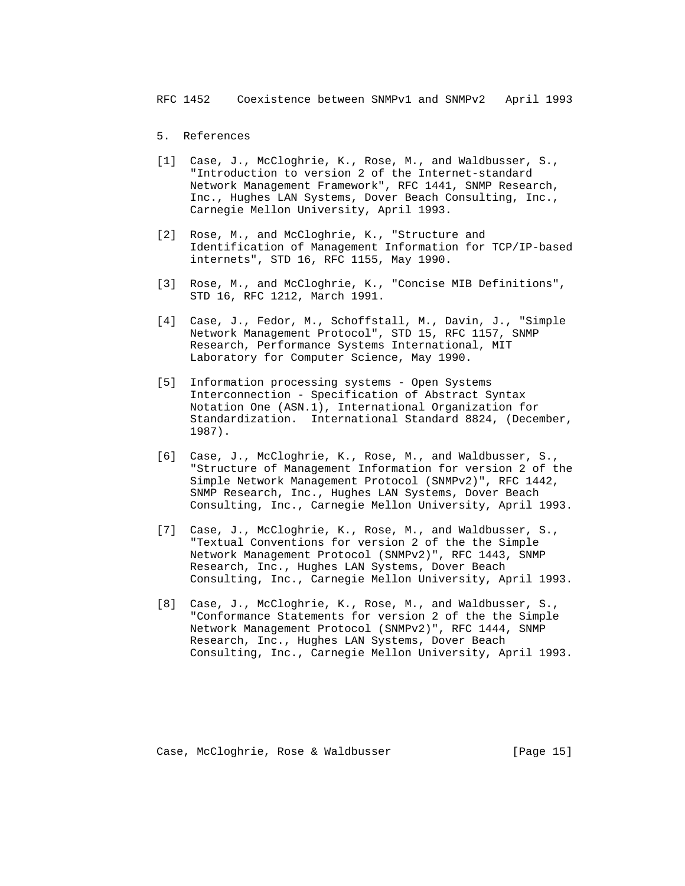- 5. References
- [1] Case, J., McCloghrie, K., Rose, M., and Waldbusser, S., "Introduction to version 2 of the Internet-standard Network Management Framework", RFC 1441, SNMP Research, Inc., Hughes LAN Systems, Dover Beach Consulting, Inc., Carnegie Mellon University, April 1993.
- [2] Rose, M., and McCloghrie, K., "Structure and Identification of Management Information for TCP/IP-based internets", STD 16, RFC 1155, May 1990.
- [3] Rose, M., and McCloghrie, K., "Concise MIB Definitions", STD 16, RFC 1212, March 1991.
- [4] Case, J., Fedor, M., Schoffstall, M., Davin, J., "Simple Network Management Protocol", STD 15, RFC 1157, SNMP Research, Performance Systems International, MIT Laboratory for Computer Science, May 1990.
- [5] Information processing systems Open Systems Interconnection - Specification of Abstract Syntax Notation One (ASN.1), International Organization for Standardization. International Standard 8824, (December, 1987).
- [6] Case, J., McCloghrie, K., Rose, M., and Waldbusser, S., "Structure of Management Information for version 2 of the Simple Network Management Protocol (SNMPv2)", RFC 1442, SNMP Research, Inc., Hughes LAN Systems, Dover Beach Consulting, Inc., Carnegie Mellon University, April 1993.
- [7] Case, J., McCloghrie, K., Rose, M., and Waldbusser, S., "Textual Conventions for version 2 of the the Simple Network Management Protocol (SNMPv2)", RFC 1443, SNMP Research, Inc., Hughes LAN Systems, Dover Beach Consulting, Inc., Carnegie Mellon University, April 1993.
- [8] Case, J., McCloghrie, K., Rose, M., and Waldbusser, S., "Conformance Statements for version 2 of the the Simple Network Management Protocol (SNMPv2)", RFC 1444, SNMP Research, Inc., Hughes LAN Systems, Dover Beach Consulting, Inc., Carnegie Mellon University, April 1993.

Case, McCloghrie, Rose & Waldbusser [Page 15]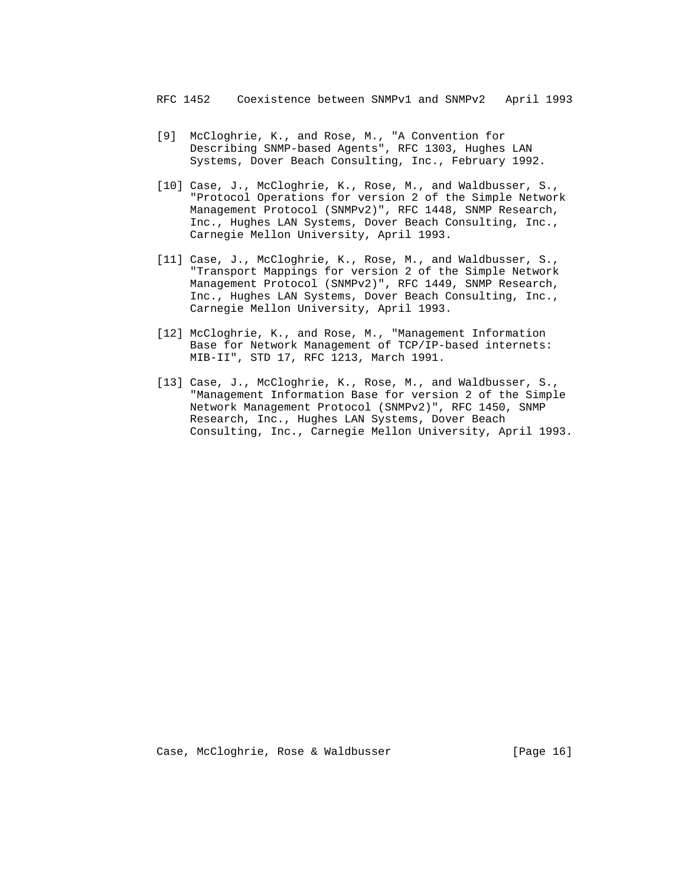- [9] McCloghrie, K., and Rose, M., "A Convention for Describing SNMP-based Agents", RFC 1303, Hughes LAN Systems, Dover Beach Consulting, Inc., February 1992.
- [10] Case, J., McCloghrie, K., Rose, M., and Waldbusser, S., "Protocol Operations for version 2 of the Simple Network Management Protocol (SNMPv2)", RFC 1448, SNMP Research, Inc., Hughes LAN Systems, Dover Beach Consulting, Inc., Carnegie Mellon University, April 1993.
- [11] Case, J., McCloghrie, K., Rose, M., and Waldbusser, S., "Transport Mappings for version 2 of the Simple Network Management Protocol (SNMPv2)", RFC 1449, SNMP Research, Inc., Hughes LAN Systems, Dover Beach Consulting, Inc., Carnegie Mellon University, April 1993.
- [12] McCloghrie, K., and Rose, M., "Management Information Base for Network Management of TCP/IP-based internets: MIB-II", STD 17, RFC 1213, March 1991.
- [13] Case, J., McCloghrie, K., Rose, M., and Waldbusser, S., "Management Information Base for version 2 of the Simple Network Management Protocol (SNMPv2)", RFC 1450, SNMP Research, Inc., Hughes LAN Systems, Dover Beach Consulting, Inc., Carnegie Mellon University, April 1993.